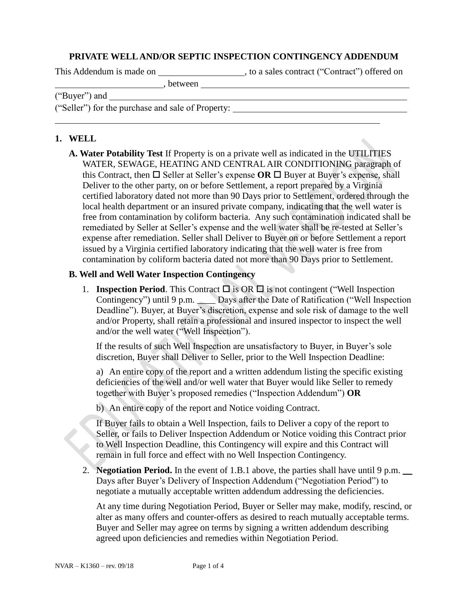### **PRIVATE WELL AND/OR SEPTIC INSPECTION CONTINGENCY ADDENDUM**

, between

This Addendum is made on \_\_\_\_\_\_\_\_\_\_\_\_\_\_\_\_\_\_\_\_\_\_, to a sales contract ("Contract") offered on

("Buyer") and

("Seller") for the purchase and sale of Property:

## **1. WELL**

**A. Water Potability Test** If Property is on a private well as indicated in the UTILITIES WATER, SEWAGE, HEATING AND CENTRAL AIR CONDITIONING paragraph of this Contract, then  $\square$  Seller at Seller's expense **OR**  $\square$  Buyer at Buyer's expense, shall Deliver to the other party, on or before Settlement, a report prepared by a Virginia certified laboratory dated not more than 90 Days prior to Settlement, ordered through the local health department or an insured private company, indicating that the well water is free from contamination by coliform bacteria. Any such contamination indicated shall be remediated by Seller at Seller's expense and the well water shall be re-tested at Seller's expense after remediation. Seller shall Deliver to Buyer on or before Settlement a report issued by a Virginia certified laboratory indicating that the well water is free from contamination by coliform bacteria dated not more than 90 Days prior to Settlement.

### **B. Well and Well Water Inspection Contingency**

1. **Inspection Period**. This Contract  $\Box$  is OR  $\Box$  is not contingent ("Well Inspection Contingency") until 9 p.m. \_\_\_\_ Days after the Date of Ratification ("Well Inspection Deadline"). Buyer, at Buyer's discretion, expense and sole risk of damage to the well and/or Property, shall retain a professional and insured inspector to inspect the well and/or the well water ("Well Inspection").

If the results of such Well Inspection are unsatisfactory to Buyer, in Buyer's sole discretion, Buyer shall Deliver to Seller, prior to the Well Inspection Deadline:

a) An entire copy of the report and a written addendum listing the specific existing deficiencies of the well and/or well water that Buyer would like Seller to remedy together with Buyer's proposed remedies ("Inspection Addendum") **OR**

b) An entire copy of the report and Notice voiding Contract.

If Buyer fails to obtain a Well Inspection, fails to Deliver a copy of the report to Seller, or fails to Deliver Inspection Addendum or Notice voiding this Contract prior to Well Inspection Deadline, this Contingency will expire and this Contract will remain in full force and effect with no Well Inspection Contingency.

2. **Negotiation Period.** In the event of 1.B.1 above, the parties shall have until 9 p.m. \_\_ Days after Buyer's Delivery of Inspection Addendum ("Negotiation Period") to negotiate a mutually acceptable written addendum addressing the deficiencies.

At any time during Negotiation Period, Buyer or Seller may make, modify, rescind, or alter as many offers and counter-offers as desired to reach mutually acceptable terms. Buyer and Seller may agree on terms by signing a written addendum describing agreed upon deficiencies and remedies within Negotiation Period.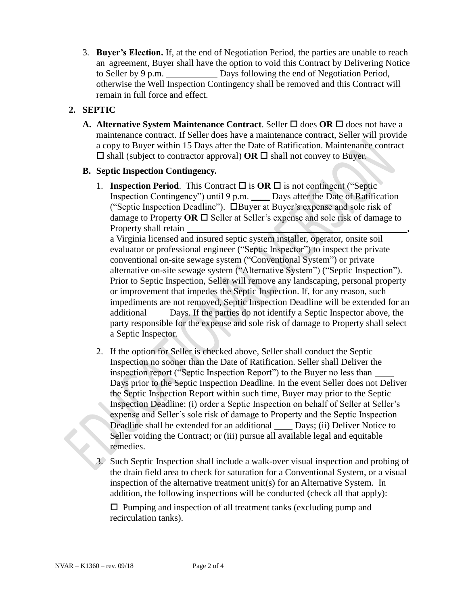3. **Buyer's Election.** If, at the end of Negotiation Period, the parties are unable to reach an agreement, Buyer shall have the option to void this Contract by Delivering Notice to Seller by 9 p.m. Days following the end of Negotiation Period, otherwise the Well Inspection Contingency shall be removed and this Contract will remain in full force and effect.

# **2. SEPTIC**

**A. Alternative System Maintenance Contract**. Seller  $\Box$  does **OR**  $\Box$  does not have a maintenance contract. If Seller does have a maintenance contract, Seller will provide a copy to Buyer within 15 Days after the Date of Ratification. Maintenance contract  $\Box$  shall (subject to contractor approval) **OR**  $\Box$  shall not convey to Buyer.

## **B. Septic Inspection Contingency.**

1. **Inspection Period**. This Contract  $\Box$  is **OR**  $\Box$  is not contingent ("Septic Inspection Contingency") until 9 p.m. \_\_\_\_ Days after the Date of Ratification ("Septic Inspection Deadline"). Buyer at Buyer's expense and sole risk of damage to Property **OR**  $\Box$  Seller at Seller's expense and sole risk of damage to Property shall retain

a Virginia licensed and insured septic system installer, operator, onsite soil evaluator or professional engineer ("Septic Inspector") to inspect the private conventional on-site sewage system ("Conventional System") or private alternative on-site sewage system ("Alternative System") ("Septic Inspection"). Prior to Septic Inspection, Seller will remove any landscaping, personal property or improvement that impedes the Septic Inspection. If, for any reason, such impediments are not removed, Septic Inspection Deadline will be extended for an additional Days. If the parties do not identify a Septic Inspector above, the party responsible for the expense and sole risk of damage to Property shall select a Septic Inspector.

- 2. If the option for Seller is checked above, Seller shall conduct the Septic Inspection no sooner than the Date of Ratification. Seller shall Deliver the inspection report ("Septic Inspection Report") to the Buyer no less than Days prior to the Septic Inspection Deadline. In the event Seller does not Deliver the Septic Inspection Report within such time, Buyer may prior to the Septic Inspection Deadline: (i) order a Septic Inspection on behalf of Seller at Seller's expense and Seller's sole risk of damage to Property and the Septic Inspection Deadline shall be extended for an additional Days; (ii) Deliver Notice to Seller voiding the Contract; or (iii) pursue all available legal and equitable remedies.
- 3. Such Septic Inspection shall include a walk-over visual inspection and probing of the drain field area to check for saturation for a Conventional System, or a visual inspection of the alternative treatment unit(s) for an Alternative System. In addition, the following inspections will be conducted (check all that apply):

 $\square$  Pumping and inspection of all treatment tanks (excluding pump and recirculation tanks).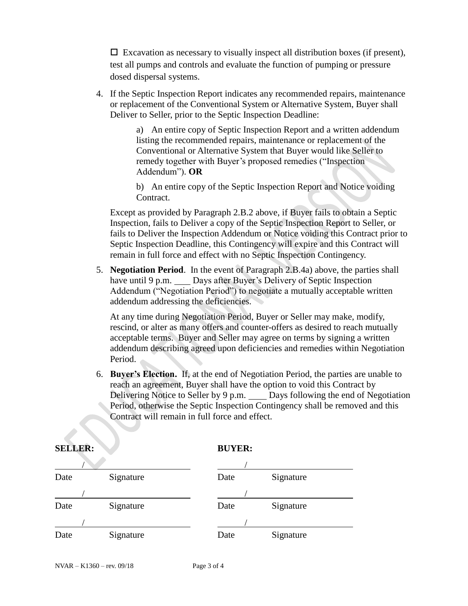$\Box$  Excavation as necessary to visually inspect all distribution boxes (if present), test all pumps and controls and evaluate the function of pumping or pressure dosed dispersal systems.

4. If the Septic Inspection Report indicates any recommended repairs, maintenance or replacement of the Conventional System or Alternative System, Buyer shall Deliver to Seller, prior to the Septic Inspection Deadline:

> a) An entire copy of Septic Inspection Report and a written addendum listing the recommended repairs, maintenance or replacement of the Conventional or Alternative System that Buyer would like Seller to remedy together with Buyer's proposed remedies ("Inspection Addendum"). **OR**

b) An entire copy of the Septic Inspection Report and Notice voiding Contract.

Except as provided by Paragraph 2.B.2 above, if Buyer fails to obtain a Septic Inspection, fails to Deliver a copy of the Septic Inspection Report to Seller, or fails to Deliver the Inspection Addendum or Notice voiding this Contract prior to Septic Inspection Deadline, this Contingency will expire and this Contract will remain in full force and effect with no Septic Inspection Contingency.

5. **Negotiation Period**. In the event of Paragraph 2.B.4a) above, the parties shall have until 9 p.m. Days after Buyer's Delivery of Septic Inspection Addendum ("Negotiation Period") to negotiate a mutually acceptable written addendum addressing the deficiencies.

At any time during Negotiation Period, Buyer or Seller may make, modify, rescind, or alter as many offers and counter-offers as desired to reach mutually acceptable terms. Buyer and Seller may agree on terms by signing a written addendum describing agreed upon deficiencies and remedies within Negotiation Period.

6. **Buyer's Election.** If, at the end of Negotiation Period, the parties are unable to reach an agreement, Buyer shall have the option to void this Contract by Delivering Notice to Seller by 9 p.m. Days following the end of Negotiation Period, otherwise the Septic Inspection Contingency shall be removed and this Contract will remain in full force and effect.

| Date | Signature | Date | Signature |
|------|-----------|------|-----------|
|      |           |      |           |
| Date | Signature | Date | Signature |
|      |           |      |           |
| Date | Signature | Date | Signature |

#### **SELLER: BUYER:**